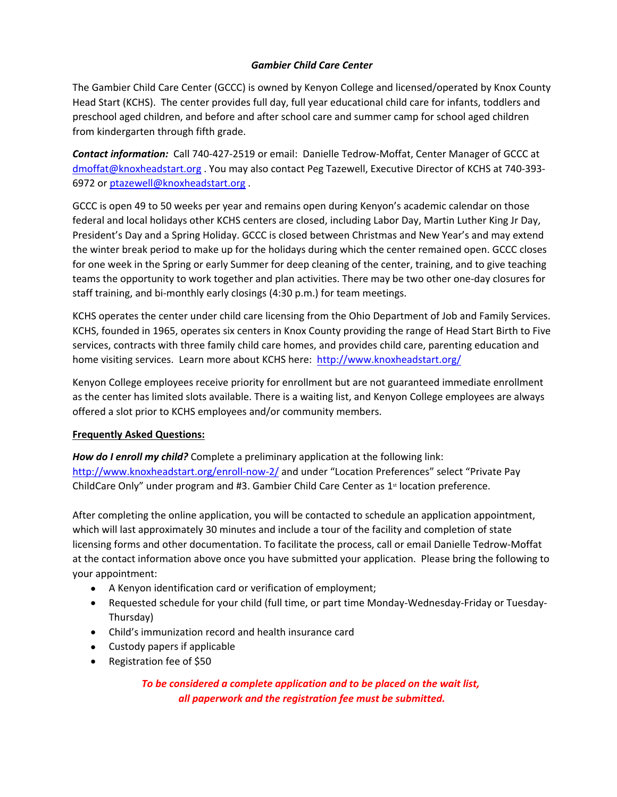## *Gambier Child Care Center*

The Gambier Child Care Center (GCCC) is owned by Kenyon College and licensed/operated by Knox County Head Start (KCHS). The center provides full day, full year educational child care for infants, toddlers and preschool aged children, and before and after school care and summer camp for school aged children from kindergarten through fifth grade.

*Contact information:* Call 740-427-2519 or email: Danielle Tedrow-Moffat, Center Manager of GCCC at dmoffat@knoxheadstart.org . You may also contact Peg Tazewell, Executive Director of KCHS at 740-393- 6972 or ptazewell@knoxheadstart.org .

GCCC is open 49 to 50 weeks per year and remains open during Kenyon's academic calendar on those federal and local holidays other KCHS centers are closed, including Labor Day, Martin Luther King Jr Day, President's Day and a Spring Holiday. GCCC is closed between Christmas and New Year's and may extend the winter break period to make up for the holidays during which the center remained open. GCCC closes for one week in the Spring or early Summer for deep cleaning of the center, training, and to give teaching teams the opportunity to work together and plan activities. There may be two other one-day closures for staff training, and bi-monthly early closings (4:30 p.m.) for team meetings.

KCHS operates the center under child care licensing from the Ohio Department of Job and Family Services. KCHS, founded in 1965, operates six centers in Knox County providing the range of Head Start Birth to Five services, contracts with three family child care homes, and provides child care, parenting education and home visiting services. Learn more about KCHS here: http://www.knoxheadstart.org/

Kenyon College employees receive priority for enrollment but are not guaranteed immediate enrollment as the center has limited slots available. There is a waiting list, and Kenyon College employees are always offered a slot prior to KCHS employees and/or community members.

## **Frequently Asked Questions:**

*How do I enroll my child?* Complete a preliminary application at the following link: http://www.knoxheadstart.org/enroll-now-2/ and under "Location Preferences" select "Private Pay ChildCare Only" under program and  $#3$ . Gambier Child Care Center as  $1$ <sup>st</sup> location preference.

After completing the online application, you will be contacted to schedule an application appointment, which will last approximately 30 minutes and include a tour of the facility and completion of state licensing forms and other documentation. To facilitate the process, call or email Danielle Tedrow-Moffat at the contact information above once you have submitted your application. Please bring the following to your appointment:

- A Kenyon identification card or verification of employment;
- Requested schedule for your child (full time, or part time Monday-Wednesday-Friday or Tuesday-Thursday)
- Child's immunization record and health insurance card
- Custody papers if applicable
- Registration fee of \$50

*To be considered a complete application and to be placed on the wait list, all paperwork and the registration fee must be submitted.*